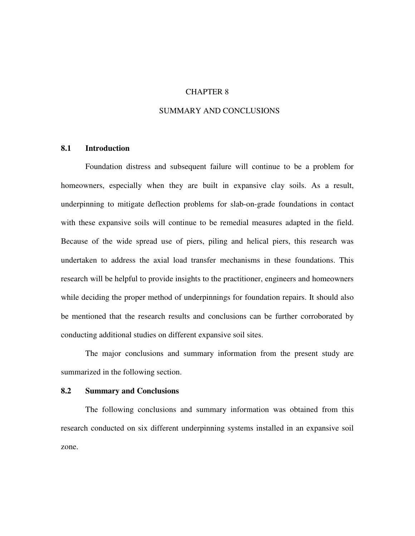#### CHAPTER 8

# SUMMARY AND CONCLUSIONS

#### **8.1 Introduction**

Foundation distress and subsequent failure will continue to be a problem for homeowners, especially when they are built in expansive clay soils. As a result, underpinning to mitigate deflection problems for slab-on-grade foundations in contact with these expansive soils will continue to be remedial measures adapted in the field. Because of the wide spread use of piers, piling and helical piers, this research was undertaken to address the axial load transfer mechanisms in these foundations. This research will be helpful to provide insights to the practitioner, engineers and homeowners while deciding the proper method of underpinnings for foundation repairs. It should also be mentioned that the research results and conclusions can be further corroborated by conducting additional studies on different expansive soil sites.

The major conclusions and summary information from the present study are summarized in the following section.

### **8.2 Summary and Conclusions**

The following conclusions and summary information was obtained from this research conducted on six different underpinning systems installed in an expansive soil zone.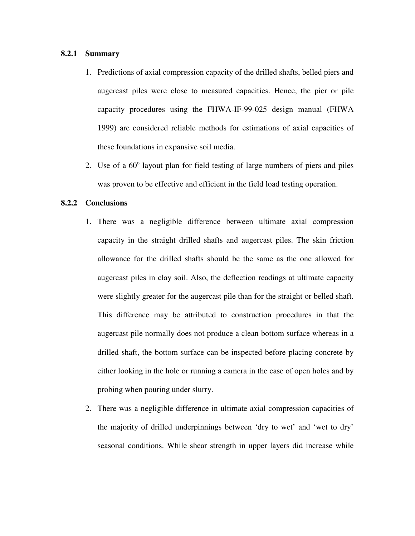## **8.2.1 Summary**

- 1. Predictions of axial compression capacity of the drilled shafts, belled piers and augercast piles were close to measured capacities. Hence, the pier or pile capacity procedures using the FHWA-IF-99-025 design manual (FHWA 1999) are considered reliable methods for estimations of axial capacities of these foundations in expansive soil media.
- 2. Use of a  $60^{\circ}$  layout plan for field testing of large numbers of piers and piles was proven to be effective and efficient in the field load testing operation.

#### **8.2.2 Conclusions**

- 1. There was a negligible difference between ultimate axial compression capacity in the straight drilled shafts and augercast piles. The skin friction allowance for the drilled shafts should be the same as the one allowed for augercast piles in clay soil. Also, the deflection readings at ultimate capacity were slightly greater for the augercast pile than for the straight or belled shaft. This difference may be attributed to construction procedures in that the augercast pile normally does not produce a clean bottom surface whereas in a drilled shaft, the bottom surface can be inspected before placing concrete by either looking in the hole or running a camera in the case of open holes and by probing when pouring under slurry.
- 2. There was a negligible difference in ultimate axial compression capacities of the majority of drilled underpinnings between 'dry to wet' and 'wet to dry' seasonal conditions. While shear strength in upper layers did increase while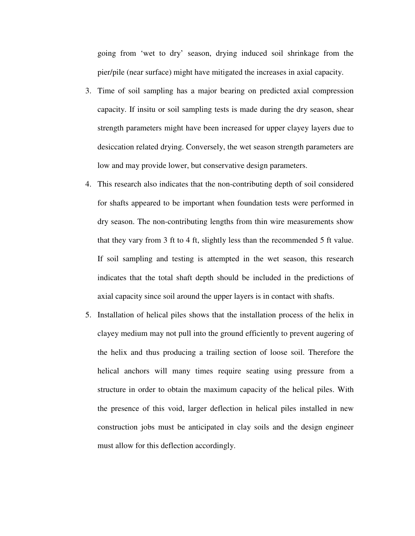going from 'wet to dry' season, drying induced soil shrinkage from the pier/pile (near surface) might have mitigated the increases in axial capacity.

- 3. Time of soil sampling has a major bearing on predicted axial compression capacity. If insitu or soil sampling tests is made during the dry season, shear strength parameters might have been increased for upper clayey layers due to desiccation related drying. Conversely, the wet season strength parameters are low and may provide lower, but conservative design parameters.
- 4. This research also indicates that the non-contributing depth of soil considered for shafts appeared to be important when foundation tests were performed in dry season. The non-contributing lengths from thin wire measurements show that they vary from 3 ft to 4 ft, slightly less than the recommended 5 ft value. If soil sampling and testing is attempted in the wet season, this research indicates that the total shaft depth should be included in the predictions of axial capacity since soil around the upper layers is in contact with shafts.
- 5. Installation of helical piles shows that the installation process of the helix in clayey medium may not pull into the ground efficiently to prevent augering of the helix and thus producing a trailing section of loose soil. Therefore the helical anchors will many times require seating using pressure from a structure in order to obtain the maximum capacity of the helical piles. With the presence of this void, larger deflection in helical piles installed in new construction jobs must be anticipated in clay soils and the design engineer must allow for this deflection accordingly.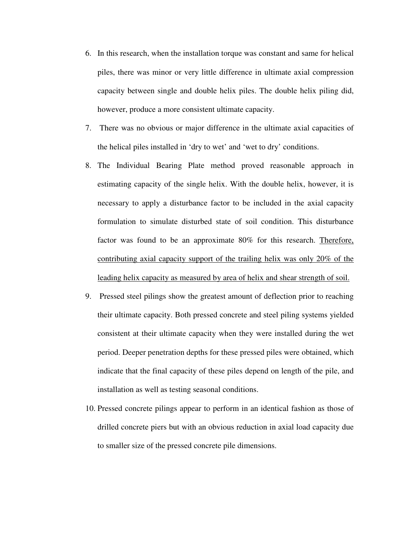- 6. In this research, when the installation torque was constant and same for helical piles, there was minor or very little difference in ultimate axial compression capacity between single and double helix piles. The double helix piling did, however, produce a more consistent ultimate capacity.
- 7. There was no obvious or major difference in the ultimate axial capacities of the helical piles installed in 'dry to wet' and 'wet to dry' conditions.
- 8. The Individual Bearing Plate method proved reasonable approach in estimating capacity of the single helix. With the double helix, however, it is necessary to apply a disturbance factor to be included in the axial capacity formulation to simulate disturbed state of soil condition. This disturbance factor was found to be an approximate 80% for this research. Therefore, contributing axial capacity support of the trailing helix was only 20% of the leading helix capacity as measured by area of helix and shear strength of soil.
- 9. Pressed steel pilings show the greatest amount of deflection prior to reaching their ultimate capacity. Both pressed concrete and steel piling systems yielded consistent at their ultimate capacity when they were installed during the wet period. Deeper penetration depths for these pressed piles were obtained, which indicate that the final capacity of these piles depend on length of the pile, and installation as well as testing seasonal conditions.
- 10. Pressed concrete pilings appear to perform in an identical fashion as those of drilled concrete piers but with an obvious reduction in axial load capacity due to smaller size of the pressed concrete pile dimensions.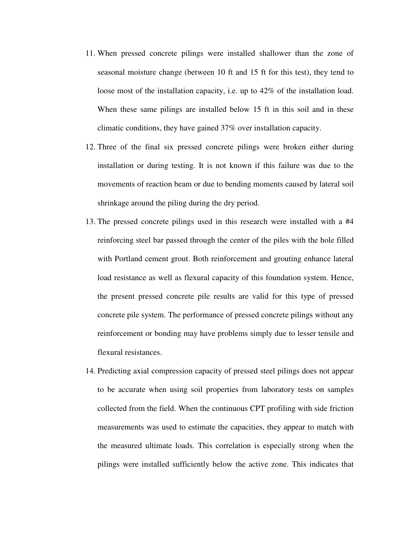- 11. When pressed concrete pilings were installed shallower than the zone of seasonal moisture change (between 10 ft and 15 ft for this test), they tend to loose most of the installation capacity, i.e. up to 42% of the installation load. When these same pilings are installed below 15 ft in this soil and in these climatic conditions, they have gained 37% over installation capacity.
- 12. Three of the final six pressed concrete pilings were broken either during installation or during testing. It is not known if this failure was due to the movements of reaction beam or due to bending moments caused by lateral soil shrinkage around the piling during the dry period.
- 13. The pressed concrete pilings used in this research were installed with a #4 reinforcing steel bar passed through the center of the piles with the hole filled with Portland cement grout. Both reinforcement and grouting enhance lateral load resistance as well as flexural capacity of this foundation system. Hence, the present pressed concrete pile results are valid for this type of pressed concrete pile system. The performance of pressed concrete pilings without any reinforcement or bonding may have problems simply due to lesser tensile and flexural resistances.
- 14. Predicting axial compression capacity of pressed steel pilings does not appear to be accurate when using soil properties from laboratory tests on samples collected from the field. When the continuous CPT profiling with side friction measurements was used to estimate the capacities, they appear to match with the measured ultimate loads. This correlation is especially strong when the pilings were installed sufficiently below the active zone. This indicates that